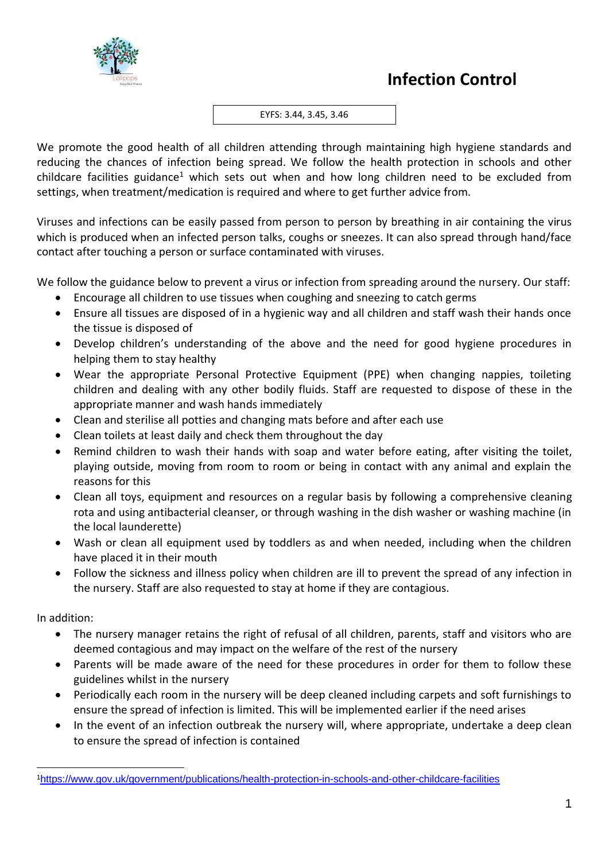

#### EYFS: 3.44, 3.45, 3.46

We promote the good health of all children attending through maintaining high hygiene standards and reducing the chances of infection being spread. We follow the health protection in schools and other childcare facilities guidance<sup>1</sup> which sets out when and how long children need to be excluded from settings, when treatment/medication is required and where to get further advice from.

Viruses and infections can be easily passed from person to person by breathing in air containing the virus which is produced when an infected person talks, coughs or sneezes. It can also spread through hand/face contact after touching a person or surface contaminated with viruses.

We follow the guidance below to prevent a virus or infection from spreading around the nursery. Our staff:

- Encourage all children to use tissues when coughing and sneezing to catch germs
- Ensure all tissues are disposed of in a hygienic way and all children and staff wash their hands once the tissue is disposed of
- Develop children's understanding of the above and the need for good hygiene procedures in helping them to stay healthy
- Wear the appropriate Personal Protective Equipment (PPE) when changing nappies, toileting children and dealing with any other bodily fluids. Staff are requested to dispose of these in the appropriate manner and wash hands immediately
- Clean and sterilise all potties and changing mats before and after each use
- Clean toilets at least daily and check them throughout the day
- Remind children to wash their hands with soap and water before eating, after visiting the toilet, playing outside, moving from room to room or being in contact with any animal and explain the reasons for this
- Clean all toys, equipment and resources on a regular basis by following a comprehensive cleaning rota and using antibacterial cleanser, or through washing in the dish washer or washing machine (in the local launderette)
- Wash or clean all equipment used by toddlers as and when needed, including when the children have placed it in their mouth
- Follow the sickness and illness policy when children are ill to prevent the spread of any infection in the nursery. Staff are also requested to stay at home if they are contagious.

In addition:

- The nursery manager retains the right of refusal of all children, parents, staff and visitors who are deemed contagious and may impact on the welfare of the rest of the nursery
- Parents will be made aware of the need for these procedures in order for them to follow these guidelines whilst in the nursery
- Periodically each room in the nursery will be deep cleaned including carpets and soft furnishings to ensure the spread of infection is limited. This will be implemented earlier if the need arises
- In the event of an infection outbreak the nursery will, where appropriate, undertake a deep clean to ensure the spread of infection is contained

<sup>1</sup><https://www.gov.uk/government/publications/health-protection-in-schools-and-other-childcare-facilities>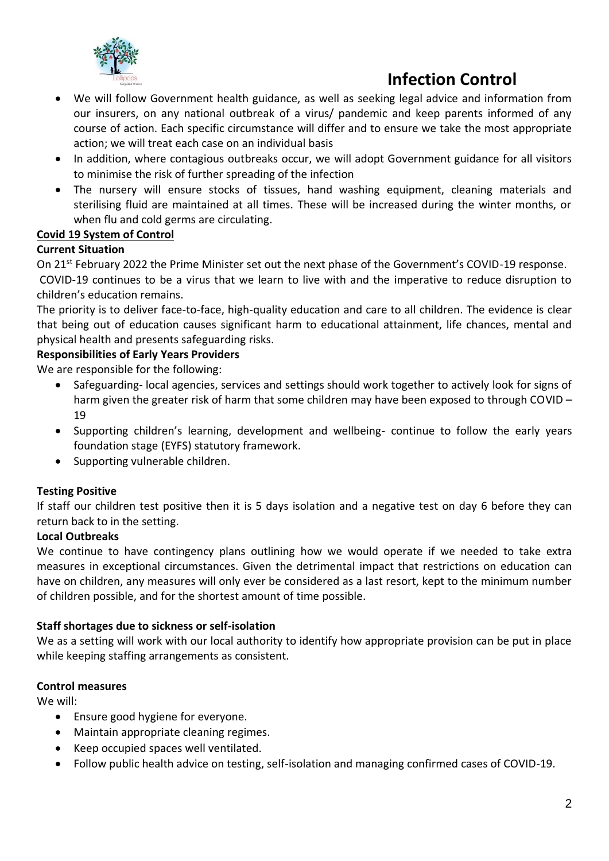

# **Infection Control**

- We will follow Government health guidance, as well as seeking legal advice and information from our insurers, on any national outbreak of a virus/ pandemic and keep parents informed of any course of action. Each specific circumstance will differ and to ensure we take the most appropriate action; we will treat each case on an individual basis
- In addition, where contagious outbreaks occur, we will adopt Government guidance for all visitors to minimise the risk of further spreading of the infection
- The nursery will ensure stocks of tissues, hand washing equipment, cleaning materials and sterilising fluid are maintained at all times. These will be increased during the winter months, or when flu and cold germs are circulating.

# **Covid 19 System of Control**

## **Current Situation**

On 21<sup>st</sup> February 2022 the Prime Minister set out the next phase of the Government's COVID-19 response. COVID-19 continues to be a virus that we learn to live with and the imperative to reduce disruption to children's education remains.

The priority is to deliver face-to-face, high-quality education and care to all children. The evidence is clear that being out of education causes significant harm to educational attainment, life chances, mental and physical health and presents safeguarding risks.

## **Responsibilities of Early Years Providers**

We are responsible for the following:

- Safeguarding- local agencies, services and settings should work together to actively look for signs of harm given the greater risk of harm that some children may have been exposed to through COVID -19
- Supporting children's learning, development and wellbeing- continue to follow the early years foundation stage (EYFS) statutory framework.
- Supporting vulnerable children.

## **Testing Positive**

If staff our children test positive then it is 5 days isolation and a negative test on day 6 before they can return back to in the setting.

## **Local Outbreaks**

We continue to have contingency plans outlining how we would operate if we needed to take extra measures in exceptional circumstances. Given the detrimental impact that restrictions on education can have on children, any measures will only ever be considered as a last resort, kept to the minimum number of children possible, and for the shortest amount of time possible.

## **Staff shortages due to sickness or self-isolation**

We as a setting will work with our local authority to identify how appropriate provision can be put in place while keeping staffing arrangements as consistent.

## **Control measures**

We will:

- Ensure good hygiene for everyone.
- Maintain appropriate cleaning regimes.
- Keep occupied spaces well ventilated.
- Follow public health advice on testing, self-isolation and managing confirmed cases of COVID-19.